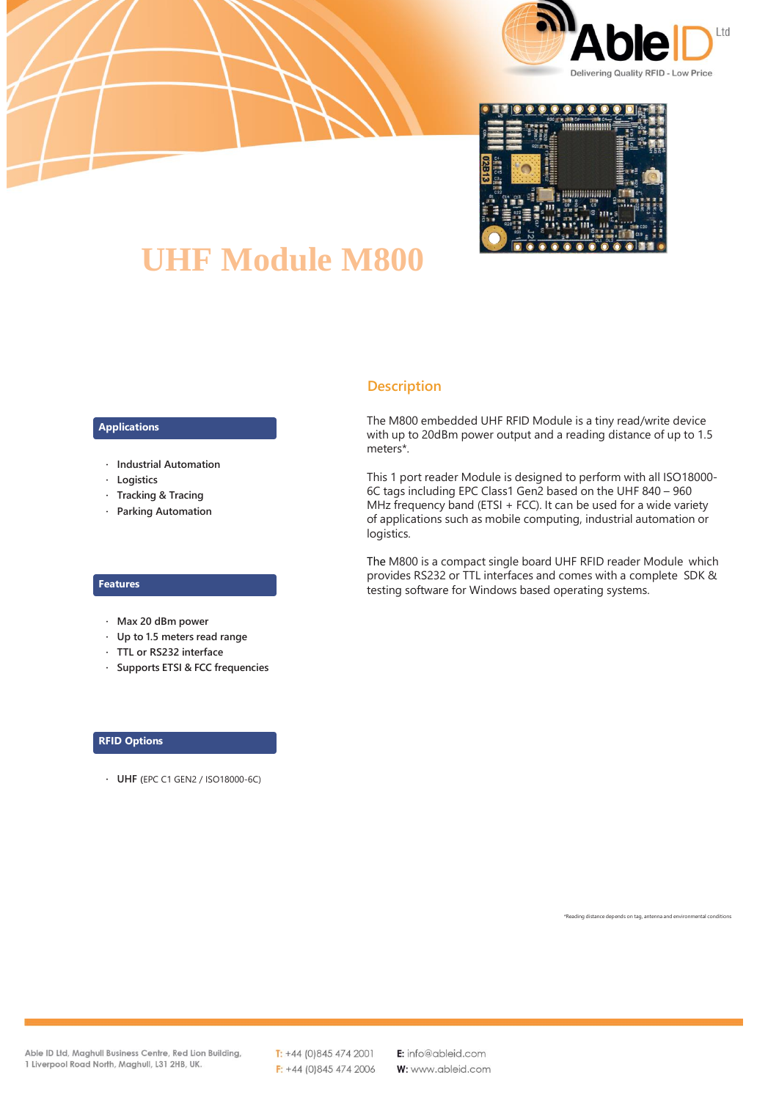



# **UHF Module M800**

### **Applications**

- **· Industrial Automation**
- **· Logistics**
- **· Tracking & Tracing**
- **· Parking Automation**

#### **Features**

- **· Max 20 dBm power**
- **· Up to 1.5 meters read range**
- **· TTL or RS232 interface**
- **· Supports ETSI & FCC frequencies**

#### **RFID Options**

**· UHF (**EPC C1 GEN2 / ISO18000-6C)

## **Description**

The M800 embedded UHF RFID Module is a tiny read/write device with up to 20dBm power output and a reading distance of up to 1.5 meters\*.

This 1 port reader Module is designed to perform with all ISO18000- 6C tags including EPC Class1 Gen2 based on the UHF 840 – 960 MHz frequency band (ETSI + FCC). It can be used for a wide variety of applications such as mobile computing, industrial automation or logistics.

The M800 is a compact single board UHF RFID reader Module which provides RS232 or TTL interfaces and comes with a complete SDK & testing software for Windows based operating systems.

ading distance depends on tag, antenna and environmental conditions

Able ID Ltd, Maghull Business Centre, Red Lion Building, 1 Liverpool Road North, Maghull, L31 2HB, UK.

 $T: +44(0)8454742001$  $F: +44$  (0)845 474 2006 E: info@ableid.com W: www.ableid.com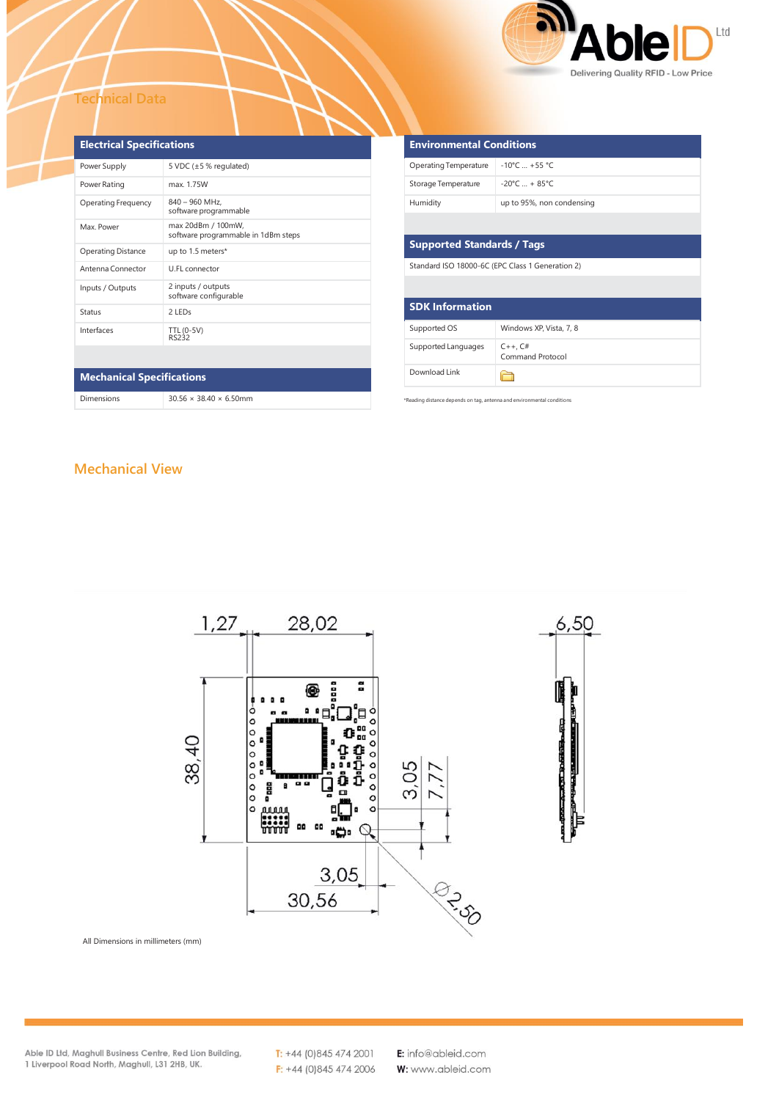

#### **Technical Data**

| <b>Electrical Specifications</b> |                                                           |  |  |  |  |
|----------------------------------|-----------------------------------------------------------|--|--|--|--|
| Power Supply                     | 5 VDC $(\pm 5\%$ regulated)                               |  |  |  |  |
| Power Rating                     | max. 1.75W                                                |  |  |  |  |
| <b>Operating Frequency</b>       | $840 - 960$ MHz.<br>software programmable                 |  |  |  |  |
| Max Power                        | max 20dBm / 100mW,<br>software programmable in 1dBm steps |  |  |  |  |
| <b>Operating Distance</b>        | up to 1.5 meters*                                         |  |  |  |  |
| Antenna Connector                | U.FL connector                                            |  |  |  |  |
| Inputs / Outputs                 | 2 inputs / outputs<br>software configurable               |  |  |  |  |
| Status                           | 2 LED <sub>S</sub>                                        |  |  |  |  |
| Interfaces                       | TTL (0-5V)<br><b>RS232</b>                                |  |  |  |  |
|                                  |                                                           |  |  |  |  |
| <b>Mechanical Specifications</b> |                                                           |  |  |  |  |
| Dimensions                       | $30.56 \times 38.40 \times 6.50$ mm                       |  |  |  |  |

| <b>Operating Temperature</b>                     | $-10^{\circ}$ C $+55^{\circ}$ C  |  |  |  |  |  |
|--------------------------------------------------|----------------------------------|--|--|--|--|--|
| Storage Temperature                              | $-20^{\circ}$ C $+ 85^{\circ}$ C |  |  |  |  |  |
| Humidity                                         | up to 95%, non condensing        |  |  |  |  |  |
|                                                  |                                  |  |  |  |  |  |
| <b>Supported Standards / Tags</b>                |                                  |  |  |  |  |  |
| Standard ISO 18000-6C (EPC Class 1 Generation 2) |                                  |  |  |  |  |  |
|                                                  |                                  |  |  |  |  |  |
| <b>SDK Information</b>                           |                                  |  |  |  |  |  |
| Supported OS                                     | Windows XP, Vista, 7, 8          |  |  |  |  |  |
| Supported Languages                              | $C++$ , $C#$<br>Command Protocol |  |  |  |  |  |
| Download Link                                    |                                  |  |  |  |  |  |

ng distance depends on

**Environmental Conditions**

## **Mechanical View**



All Dimensions in millimeters (mm)

Able ID Ltd, Maghull Business Centre, Red Lion Building, 1 Liverpool Road North, Maghull, L31 2HB, UK.

 $T: +44(0)8454742001$  $F: +44(0)8454742006$  E: info@ableid.com W: www.ableid.com